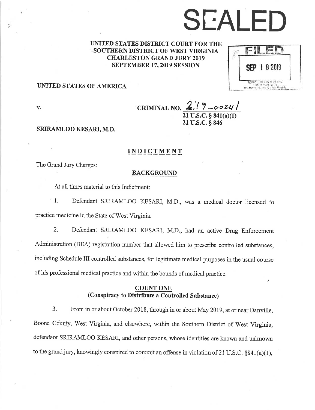# SEALED

UNITED STATES DISTRICT COURT FOR THE **SOUTHERN DISTRICT OF WEST VIRGINIA** CHARLESTON GRAND JURY 2019 SEPTEMBER 17,2019 SESS10N

| 8 2019 |
|--------|
|        |

## UNITED STATES OF AMERICA

v. CRIMINAL NO.  $2(7-\cos 24)$  $21$  U.S.C. § 841(a)(1) 21 U.S.C. § 846

### SRIRAMLOO KESARI, M.D.

## INDICTMENT

The Grand Jury Charges:

### BACKGROUND

At all times material to this Indictment:

1. Defendant SRIRAMLOO KESARI, M.D., was a medical doctor licensed to practice medicine in the State of West Virginia.

2. Defendant SRIRAMLOO KESARI, M.D., had an active Drug Enforcement Administration (DEA) registration number that allowed him to prescribe controlled substances, including Schedule III controlled substances, for legitimate medical purposes in the usual course of his professional medical practice and within the bounds of medical practice.

## **COUNT ONE** (Conspiracy to Distribute a Controlled Substance)

3. From in or about October 2018, through in or about May 2019, at or near Danville, Boone County, West Virginia, and elsewhere, within the Southern District of West Virginia defendant SRIRAMLOO KESARI, and other persons, whose identities are known and unknown to the grand jury, knowingly conspired to commit an offense in violation of 21 U.S.C.  $\S 841(a)(1)$ ,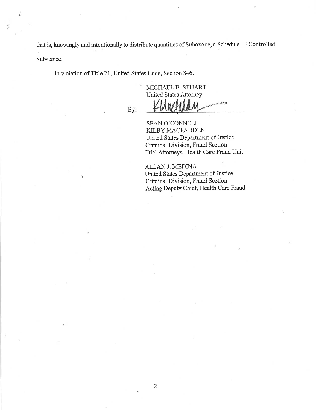that is, knowingly and intentionally to distribute quantities of Suboxone, a Schedule III Controlled Substance.

In.violation of Title 21, United States Code, Section 846.

MICHAEL B.STUART United States Attomey

By:

SEAN O'CONNELL KILBY MACFADDEN United States Department of Justice Criminal Division, Fraud Section

Trial Attomeys, Health Care Fraud Unit ALLAN J. MEDINA

United States Department of Justice Criminal Division, Fraud Section Acting Deputy Chief, Health Care Fraud